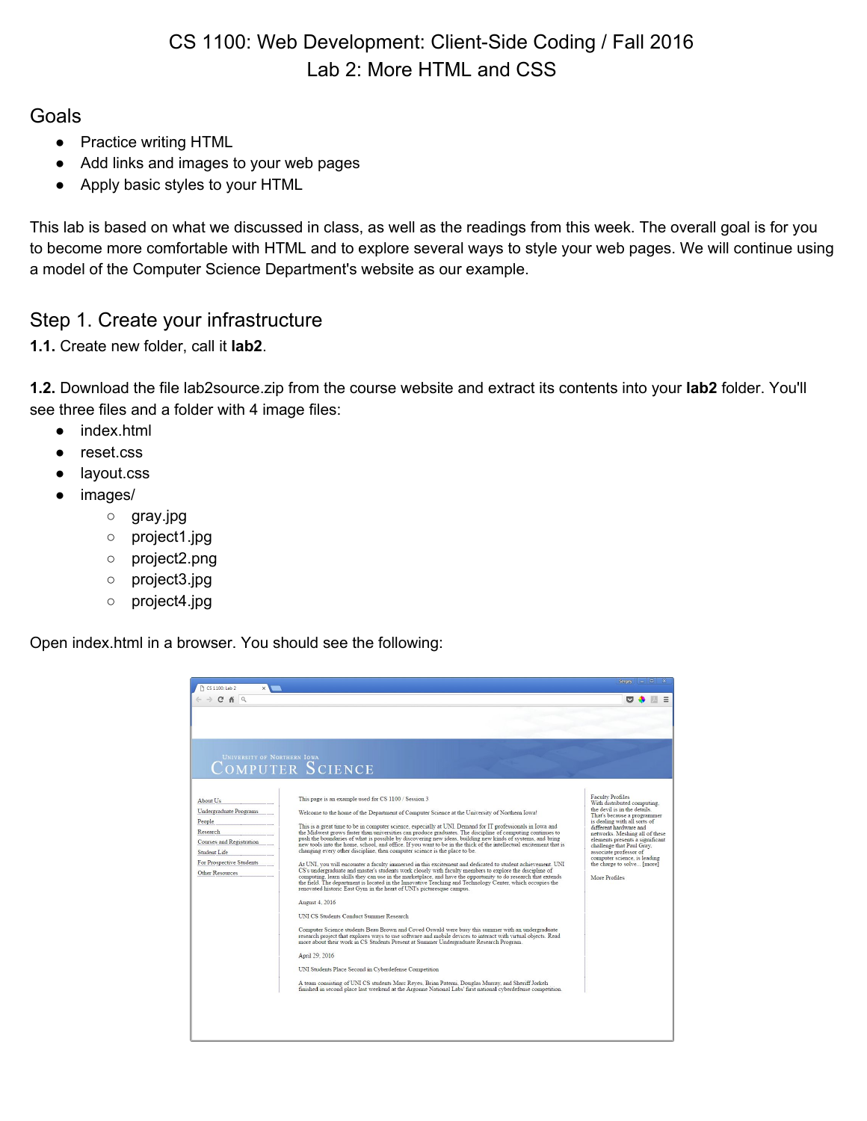# CS 1100: Web Development: Client-Side Coding / Fall 2016 Lab 2: More HTML and CSS

### **Goals**

- Practice writing HTML
- Add links and images to your web pages
- Apply basic styles to your HTML

This lab is based on what we discussed in class, as well as the readings from this week. The overall goal is for you to become more comfortable with HTML and to explore several ways to style your web pages. We will continue using a model of the Computer Science Department's website as our example.

## Step 1. Create your infrastructure

**1.1.** Create new folder, call it **lab2**.

**1.2.** Download the file lab2source.zip from the course website and extract its contents into your **lab2** folder. You'll see three files and a folder with 4 image files:

- index.html
- reset.css
- layout.css
- images/
	- gray.jpg
	- project1.jpg
	- project2.png
	- project3.jpg
	- project4.jpg

Open index.html in a browser. You should see the following:

| $\sim$                                                                                                                                              |                                                                                                                                                                                                                                                                                                                                                                                                                                                                                                                                                                                                                                                                                                                                                                                                                                                                                                                                                                                                                                                                                                                                                                                                                                                                                                                                                                                                                                                                                                                                                                                                                                                                                                                                                                                                                                                                                                                   |                                                                                                                                                                                                                                                                                                                                                                                            |
|-----------------------------------------------------------------------------------------------------------------------------------------------------|-------------------------------------------------------------------------------------------------------------------------------------------------------------------------------------------------------------------------------------------------------------------------------------------------------------------------------------------------------------------------------------------------------------------------------------------------------------------------------------------------------------------------------------------------------------------------------------------------------------------------------------------------------------------------------------------------------------------------------------------------------------------------------------------------------------------------------------------------------------------------------------------------------------------------------------------------------------------------------------------------------------------------------------------------------------------------------------------------------------------------------------------------------------------------------------------------------------------------------------------------------------------------------------------------------------------------------------------------------------------------------------------------------------------------------------------------------------------------------------------------------------------------------------------------------------------------------------------------------------------------------------------------------------------------------------------------------------------------------------------------------------------------------------------------------------------------------------------------------------------------------------------------------------------|--------------------------------------------------------------------------------------------------------------------------------------------------------------------------------------------------------------------------------------------------------------------------------------------------------------------------------------------------------------------------------------------|
| <b>UNIVERSITY OF NORTHERN IOWA</b>                                                                                                                  | COMPUTER SCIENCE                                                                                                                                                                                                                                                                                                                                                                                                                                                                                                                                                                                                                                                                                                                                                                                                                                                                                                                                                                                                                                                                                                                                                                                                                                                                                                                                                                                                                                                                                                                                                                                                                                                                                                                                                                                                                                                                                                  |                                                                                                                                                                                                                                                                                                                                                                                            |
| About Us<br>Undergraduate Programs<br>People<br>Research<br>Courses and Registration<br>Student Life<br>For Prospective Students<br>Other Resources | This page is an example used for CS 1100 / Session 3<br>Welcome to the home of the Department of Computer Science at the University of Northern Iowa!<br>This is a great time to be in computer science, especially at UNI. Demand for IT professionals in Iowa and<br>the Midwest grows faster than universities can produce graduates. The discipline of computing continues to<br>push the boundaries of what is possible by discovering new ideas, building new kinds of systems, and bring<br>new tools into the home, school, and office. If you want to be in the thick of the intellectual excitement that is<br>changing every other discipline, then computer science is the place to be.<br>At UNI, you will encounter a faculty immersed in this excitement and dedicated to student achievement. UNI<br>CS's undergraduate and master's students work closely with faculty members to explore the discipline of<br>computing, learn skills they can use in the marketplace, and have the opportunity to do research that extends<br>the field. The department is located in the Innovative Teaching and Technology Center, which occupies the<br>renovated historic East Gym in the heart of UNI's picturesque campus.<br>August 4, 2016<br>UNI CS Students Conduct Summer Research<br>Computer Science students Beau Brown and Coved Oswald were busy this summer with an undergraduate<br>research project that explores ways to use software and mobile devices to interact with virtual objects. Read<br>more about their work in CS Students Present at Summer Undergraduate Research Program.<br>April 29, 2016<br>UNI Students Place Second in Cyberdefense Competition<br>A team consisting of UNI CS students Marc Reyes, Brian Paterni, Douglas Murray, and Sheriff Jorkeh<br>finished in second place last weekend at the Argonne National Labs' first national cyberdefense competition. | <b>Faculty Profiles</b><br>With distributed computing.<br>the devil is in the details.<br>That's because a programmer<br>is dealing with all sorts of<br>different hardware and<br>networks. Meshing all of these<br>elements presents a significant<br>challenge that Paul Gray,<br>associate professor of<br>computer science, is leading<br>the charge to solve [more]<br>More Profiles |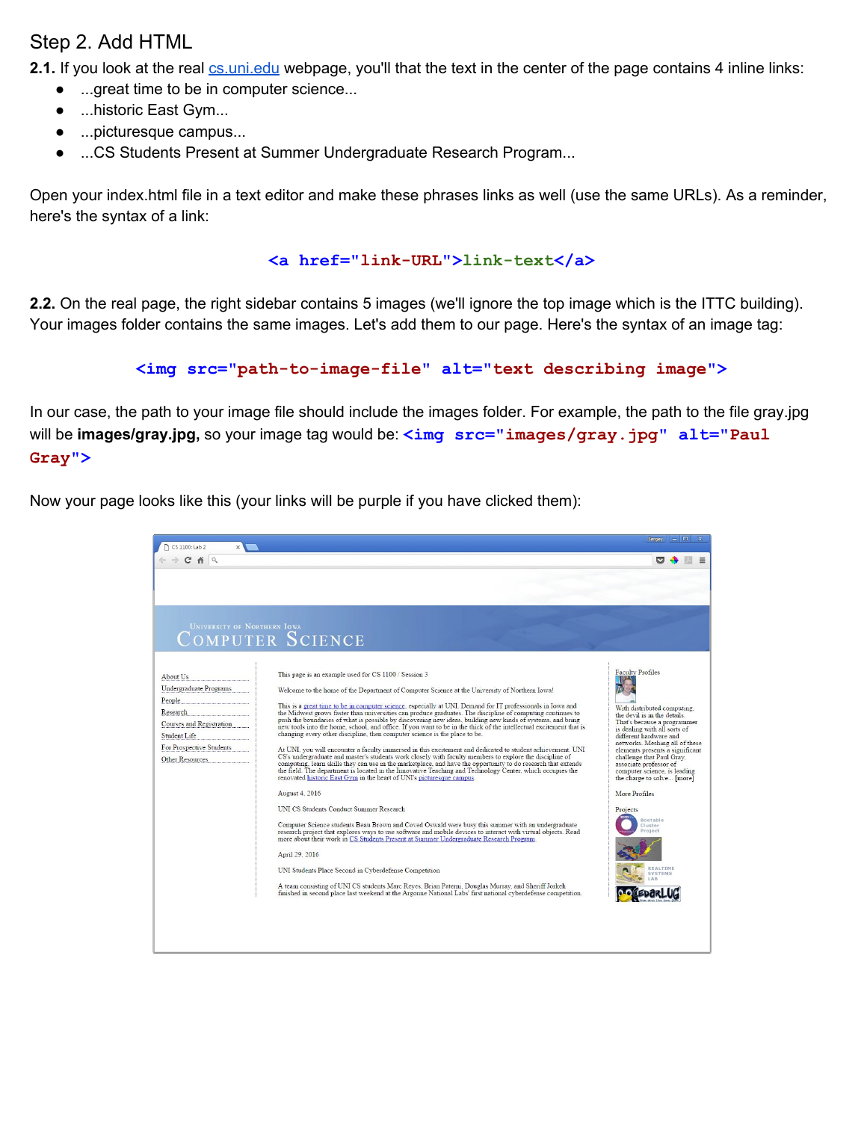# Step 2. Add HTML

**2.1.** If you look at the real [cs.uni.edu](https://www.cs.uni.edu/) webpage, you'll that the text in the center of the page contains 4 inline links:

- ...great time to be in computer science...
- ...historic East Gym...
- ...picturesque campus...
- ...CS Students Present at Summer Undergraduate Research Program...

Open your index.html file in a text editor and make these phrases links as well (use the same URLs). As a reminder, here's the syntax of a link:

#### $\langle a \rangle$  href="link-URL">link-text</a>

**2.2.** On the real page, the right sidebar contains 5 images (we'll ignore the top image which is the ITTC building). Your images folder contains the same images. Let's add them to our page. Here's the syntax of an image tag:

```
\langleimg src="path-to-image-file" alt="text describing image">
```
In our case, the path to your image file should include the images folder. For example, the path to the file gray.jpg will be **images/gray.jpg,** so your image tag would be: **<img src="images/gray.jpg" alt="Paul Gray">**

Now your page looks like this (your links will be purple if you have clicked them):

| CS 1100: Lab 2                                                                                                                                                    |                                                                                                                                                                                                                                                                                                                                                                                                                                                                                                                                                                                                                                                                                                                                                                                                                                                                                                                                                                                                                                                                                                                                                                                                                                                                                                                                                                                                                                                                                                                                                                                                                                                                                                                                                                                                                                                                                                                          | $\Box$<br>Sergey<br>$\sim$                                                                                                                                                                                                                                                                                                                                                                                                                                                          |
|-------------------------------------------------------------------------------------------------------------------------------------------------------------------|--------------------------------------------------------------------------------------------------------------------------------------------------------------------------------------------------------------------------------------------------------------------------------------------------------------------------------------------------------------------------------------------------------------------------------------------------------------------------------------------------------------------------------------------------------------------------------------------------------------------------------------------------------------------------------------------------------------------------------------------------------------------------------------------------------------------------------------------------------------------------------------------------------------------------------------------------------------------------------------------------------------------------------------------------------------------------------------------------------------------------------------------------------------------------------------------------------------------------------------------------------------------------------------------------------------------------------------------------------------------------------------------------------------------------------------------------------------------------------------------------------------------------------------------------------------------------------------------------------------------------------------------------------------------------------------------------------------------------------------------------------------------------------------------------------------------------------------------------------------------------------------------------------------------------|-------------------------------------------------------------------------------------------------------------------------------------------------------------------------------------------------------------------------------------------------------------------------------------------------------------------------------------------------------------------------------------------------------------------------------------------------------------------------------------|
| C <sub>n</sub><br>Q                                                                                                                                               |                                                                                                                                                                                                                                                                                                                                                                                                                                                                                                                                                                                                                                                                                                                                                                                                                                                                                                                                                                                                                                                                                                                                                                                                                                                                                                                                                                                                                                                                                                                                                                                                                                                                                                                                                                                                                                                                                                                          |                                                                                                                                                                                                                                                                                                                                                                                                                                                                                     |
| <b>UNIVERSITY OF NORTHERN IOWA</b>                                                                                                                                | COMPUTER SCIENCE                                                                                                                                                                                                                                                                                                                                                                                                                                                                                                                                                                                                                                                                                                                                                                                                                                                                                                                                                                                                                                                                                                                                                                                                                                                                                                                                                                                                                                                                                                                                                                                                                                                                                                                                                                                                                                                                                                         |                                                                                                                                                                                                                                                                                                                                                                                                                                                                                     |
| <b>About Us</b><br>Undergraduate Programs<br>People<br>Research<br>Courses and Registration<br>Student Life<br>For Prospective Students<br><b>Other Resources</b> | This page is an example used for CS 1100 / Session 3<br>Welcome to the home of the Department of Computer Science at the University of Northern Iowa!<br>This is a great time to be in computer science, especially at UNI. Demand for IT professionals in Iowa and<br>the Midwest grows faster than universities can produce graduates. The discipline of computing continues to<br>push the boundaries of what is possible by discovering new ideas, building new kinds of systems, and bring<br>new tools into the home, school, and office. If you want to be in the thick of the intellectual excitement that is<br>changing every other discipline, then computer science is the place to be.<br>At UNI, you will encounter a faculty immersed in this excitement and dedicated to student achievement. UNI<br>CS's undergraduate and master's students work closely with faculty members to explore the discipline of<br>computing, learn skills they can use in the marketplace, and have the opportunity to do research that extends<br>the field. The department is located in the Innovative Teaching and Technology Center, which occupies the<br>renovated historic East Gym in the heart of UNI's picturesque campus.<br><b>August 4, 2016</b><br>UNI CS Students Conduct Summer Research<br>Computer Science students Beau Brown and Coved Oswald were busy this summer with an undergraduate<br>research project that explores ways to use software and mobile devices to interact with virtual objects. Read<br>more about their work in CS Students Present at Summer Undergraduate Research Program.<br>April 29, 2016<br>UNI Students Place Second in Cyberdefense Competition<br>A team consisting of UNI CS students Marc Reyes, Brian Paterni, Douglas Murray, and Sheriff Jorkeh<br>finished in second place last weekend at the Argonne National Labs' first national cyberdefense competition. | <b>Faculty Profiles</b><br>With distributed computing.<br>the devil is in the details.<br>That's because a programmer<br>is dealing with all sorts of<br>different hardware and<br>networks. Meshing all of these<br>elements presents a significant<br>challenge that Paul Gray.<br>associate professor of<br>computer science, is leading<br>the charge to solve [more]<br>More Profiles<br>Projects<br>Bootable<br>Cluster<br>Project<br><b><i>EALTIME</i></b><br><b>CVCTEMC</b> |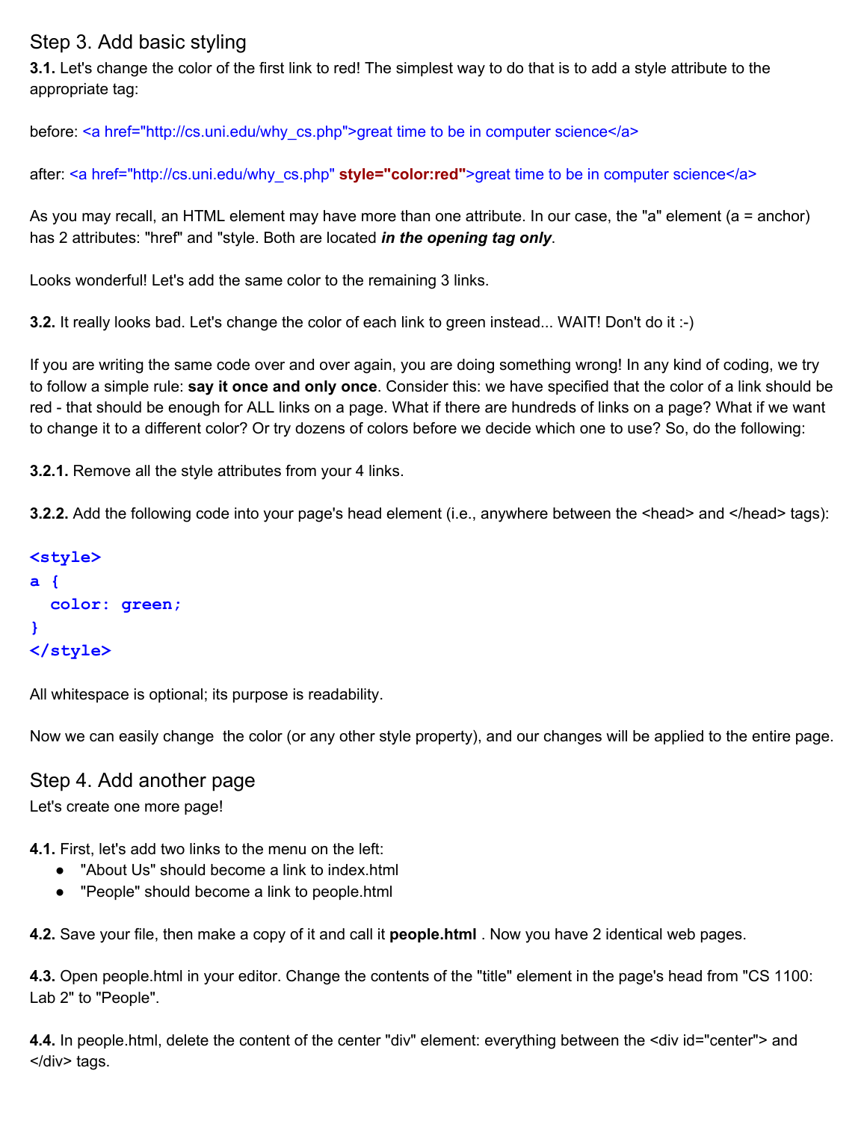## Step 3. Add basic styling

**3.1.** Let's change the color of the first link to red! The simplest way to do that is to add a style attribute to the appropriate tag:

before: <a href="http://cs.uni.edu/why\_cs.php">great time to be in computer science</a>

after: <a href="http://cs.uni.edu/why\_cs.php" **style="color:red"**>great time to be in computer science</a>

As you may recall, an HTML element may have more than one attribute. In our case, the "a" element (a = anchor) has 2 attributes: "href" and "style. Both are located *in the opening tag only*.

Looks wonderful! Let's add the same color to the remaining 3 links.

**3.2.** It really looks bad. Let's change the color of each link to green instead... WAIT! Don't do it :-)

If you are writing the same code over and over again, you are doing something wrong! In any kind of coding, we try to follow a simple rule: **say it once and only once**. Consider this: we have specified that the color of a link should be red - that should be enough for ALL links on a page. What if there are hundreds of links on a page? What if we want to change it to a different color? Or try dozens of colors before we decide which one to use? So, do the following:

**3.2.1.** Remove all the style attributes from your 4 links.

**3.2.2.** Add the following code into your page's head element (i.e., anywhere between the <head> and </head> tags):

```
<style>
a {
    color: green;
}
</style>
```
All whitespace is optional; its purpose is readability.

Now we can easily change the color (or any other style property), and our changes will be applied to the entire page.

#### Step 4. Add another page

Let's create one more page!

**4.1.** First, let's add two links to the menu on the left:

- "About Us" should become a link to index.html
- "People" should become a link to people.html

**4.2.** Save your file, then make a copy of it and call it **people.html** . Now you have 2 identical web pages.

**4.3.** Open people.html in your editor. Change the contents of the "title" element in the page's head from "CS 1100: Lab 2" to "People".

**4.4.** In people.html, delete the content of the center "div" element: everything between the <div id="center"> and </div> tags.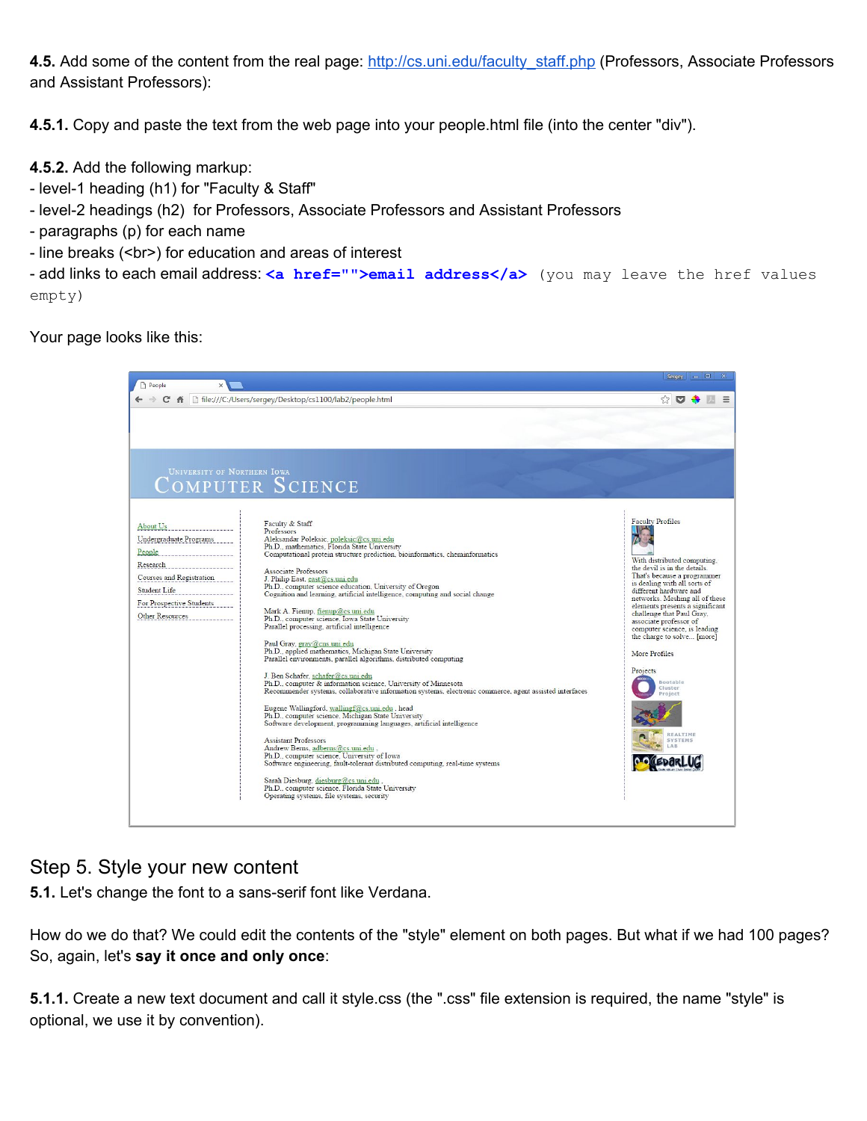**4.5.** Add some of the content from the real page: [http://cs.uni.edu/faculty\\_staff.php](http://cs.uni.edu/faculty_staff.php) (Professors, Associate Professors and Assistant Professors):

**4.5.1.** Copy and paste the text from the web page into your people.html file (into the center "div").

**4.5.2.** Add the following markup:

- level-1 heading (h1) for "Faculty & Staff"
- level-2 headings (h2) for Professors, Associate Professors and Assistant Professors
- paragraphs (p) for each name
- line breaks (<br>) for education and areas of interest

 add links to each email address: **<a href="">email address</a>** (you may leave the href values empty)

Your page looks like this:



### Step 5. Style your new content

**5.1.** Let's change the font to a sans-serif font like Verdana.

How do we do that? We could edit the contents of the "style" element on both pages. But what if we had 100 pages? So, again, let's **say it once and only once**:

**5.1.1.** Create a new text document and call it style.css (the ".css" file extension is required, the name "style" is optional, we use it by convention).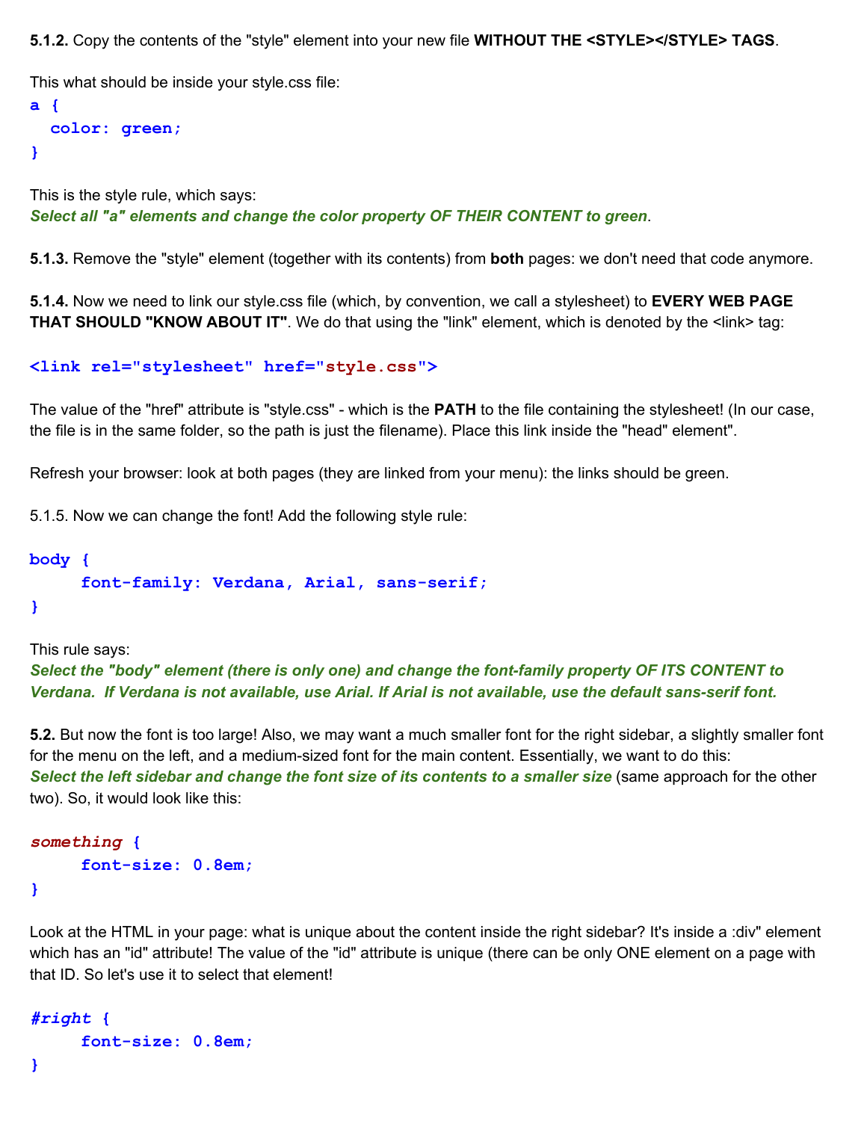**5.1.2.** Copy the contents of the "style" element into your new file **WITHOUT THE <STYLE></STYLE> TAGS**.

This what should be inside your style.css file:

```
a {
    color: green;
}
```
This is the style rule, which says: *Select all "a" elements and change the color property OF THEIR CONTENT to green*.

**5.1.3.** Remove the "style" element (together with its contents) from **both** pages: we don't need that code anymore.

**5.1.4.** Now we need to link our style.css file (which, by convention, we call a stylesheet) to **EVERY WEB PAGE THAT SHOULD "KNOW ABOUT IT"**. We do that using the "link" element, which is denoted by the <link> tag:

#### **<link rel="stylesheet" href="style.css">**

The value of the "href" attribute is "style.css" which is the **PATH** to the file containing the stylesheet! (In our case, the file is in the same folder, so the path is just the filename). Place this link inside the "head" element".

Refresh your browser: look at both pages (they are linked from your menu): the links should be green.

5.1.5. Now we can change the font! Add the following style rule:

### **body {** font-family: Verdana, Arial, sans-serif;

**}**

This rule says:

*Select the "body" element (there is only one) and change the fontfamily property OF ITS CONTENT to Verdana. If Verdana is not available, use Arial. If Arial is not available, use the default sansserif font.*

**5.2.** But now the font is too large! Also, we may want a much smaller font for the right sidebar, a slightly smaller font for the menu on the left, and a medium-sized font for the main content. Essentially, we want to do this: *Select the left sidebar and change the font size of its contents to a smaller size* (same approach for the other two). So, it would look like this:

```
 something {
                          fontsize: 0.8em;
                         }
```
Look at the HTML in your page: what is unique about the content inside the right sidebar? It's inside a :div" element which has an "id" attribute! The value of the "id" attribute is unique (there can be only ONE element on a page with that ID. So let's use it to select that element!

```
 #right {
                       fontsize: 0.8em;
```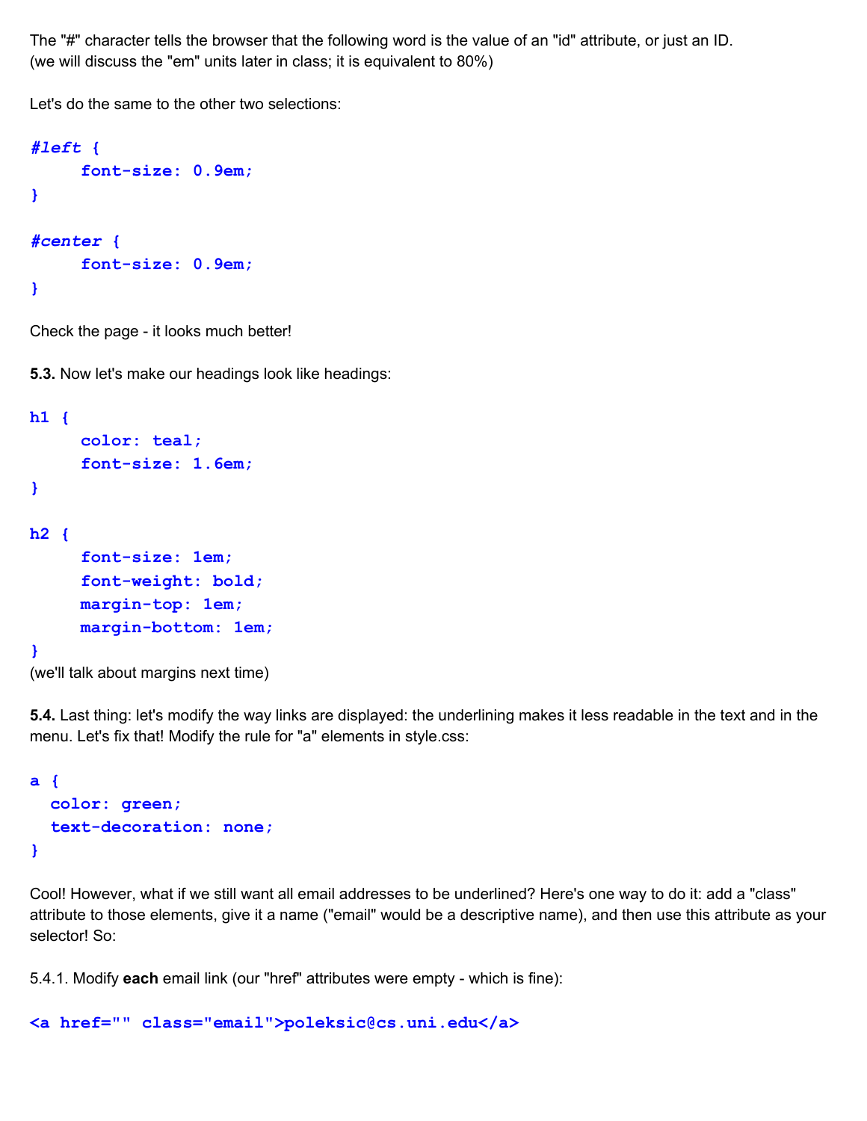The "#" character tells the browser that the following word is the value of an "id" attribute, or just an ID. (we will discuss the "em" units later in class; it is equivalent to 80%)

Let's do the same to the other two selections:

```
 #left {
                         fontsize: 0.9em;
                        }
 #center {
                         fontsize: 0.9em;
                        }
```
Check the page - it looks much better!

**5.3.** Now let's make our headings look like headings:

```
h1 {
     color: teal;
     fontsize: 1.6em;
}
h2 {
     font-size: 1em;
     font-weight: bold;
     margin-top: 1em;
     margin-bottom: 1em;}
(we'll talk about margins next time)
```
**5.4.** Last thing: let's modify the way links are displayed: the underlining makes it less readable in the text and in the menu. Let's fix that! Modify the rule for "a" elements in style.css:

```
a {
    color: green;
  text-decoration: none;}
```
Cool! However, what if we still want all email addresses to be underlined? Here's one way to do it: add a "class" attribute to those elements, give it a name ("email" would be a descriptive name), and then use this attribute as your selector! So:

5.4.1. Modify **each** email link (our "href" attributes were empty - which is fine):

```
<a href="" class="email">poleksic@cs.uni.edu</a>
```